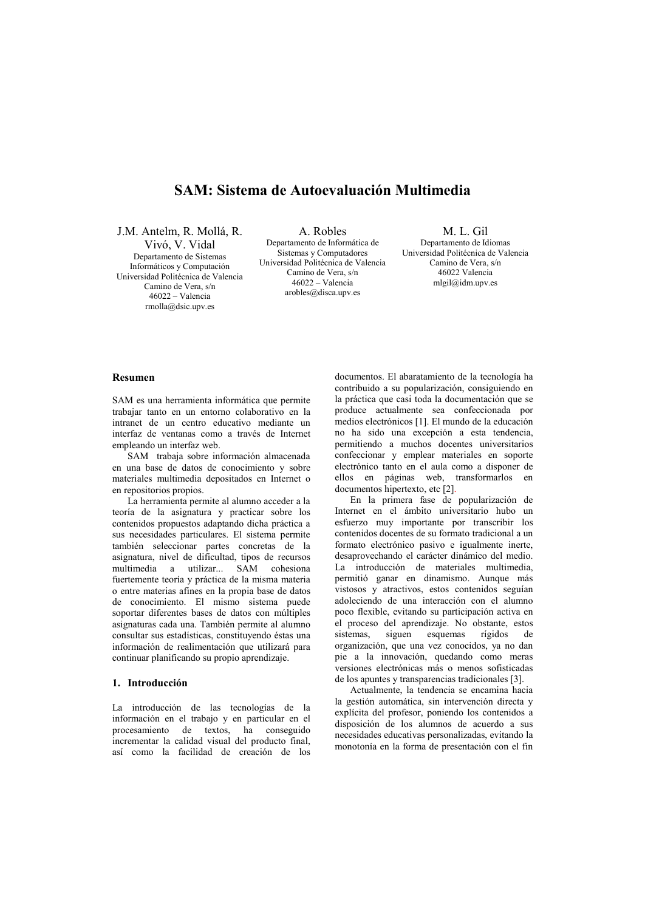# **SAM: Sistema de Autoevaluación Multimedia**

J.M. Antelm. R. Mollá. R.

Vivó. V. Vidal Departamento de Sistemas Informáticos y Computación Universidad Politécnica de Valencia Camino de Vera, s/n  $46022 - Valencia$ rmolla@dsic.upv.es

A. Robles Departamento de Informática de Sistemas y Computadores Universidad Politécnica de Valencia Camino de Vera, s/n  $46022 - Valencia$ arobles@disca.upv.es

M. L. Gil Departamento de Idiomas Universidad Politécnica de Valencia Camino de Vera, s/n  $46022$  Valencia mlgil@idm.upv.es

# **Resumen**

SAM es una herramienta informática que permite trabajar tanto en un entorno colaborativo en la intranet de un centro educativo mediante un interfaz de ventanas como a través de Internet empleando un interfaz web.

SAM trabaja sobre información almacenada en una base de datos de conocimiento y sobre materiales multimedia depositados en Internet o en repositorios propios.

La herramienta permite al alumno acceder a la teoría de la asignatura y practicar sobre los contenidos propuestos adaptando dicha práctica a sus necesidades particulares. El sistema permite también seleccionar partes concretas de la asignatura, nivel de dificultad, tipos de recursos multimedia a utilizar... SAM cohesiona fuertemente teoría y práctica de la misma materia o entre materias afines en la propia base de datos de conocimiento. El mismo sistema puede soportar diferentes bases de datos con múltiples asignaturas cada una. También permite al alumno consultar sus estadísticas, constituyendo éstas una información de realimentación que utilizará para continuar planificando su propio aprendizaje.

# 1 Introducción

La introducción de las tecnologías de la información en el trabajo y en particular en el procesamiento de textos, ha conseguido incrementar la calidad visual del producto final, así como la facilidad de creación de los

documentos. El abaratamiento de la tecnología ha contribuido a su popularización, consiguiendo en la práctica que casi toda la documentación que se produce actualmente sea confeccionada por medios electrónicos [1]. El mundo de la educación no ha sido una excepción a esta tendencia, permitiendo a muchos docentes universitarios confeccionar y emplear materiales en soporte electrónico tanto en el aula como a disponer de ellos en náginas web transformarlos en documentos hipertexto, etc [2].

En la primera fase de popularización de Internet en el ámbito universitario hubo un esfuerzo muy importante por transcribir los contenidos docentes de su formato tradicional a un formato electrónico pasivo e igualmente inerte, desaprovechando el carácter dinámico del medio. La introducción de materiales multimedia, permitió ganar en dinamismo. Aunque más vistosos y atractivos, estos contenidos seguían adoleciendo de una interacción con el alumno poco flexible, evitando su participación activa en el proceso del aprendizaje. No obstante, estos de sistemas siguen esquemas rígidos organización, que una vez conocidos, ya no dan pie a la innovación, quedando como meras versiones electrónicas más o menos sofisticadas de los apuntes y transparencias tradicionales [3].

Actualmente, la tendencia se encamina hacia la gestión automática, sin intervención directa y explícita del profesor, poniendo los contenidos a disposición de los alumnos de acuerdo a sus necesidades educativas personalizadas, evitando la monotonía en la forma de presentación con el fin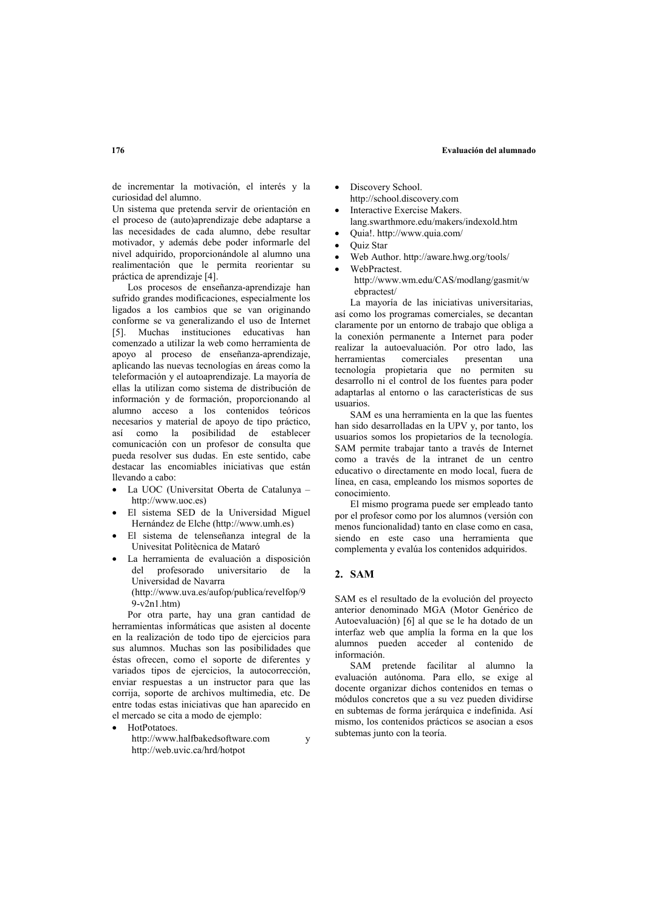#### **59: Evaluación del alumnado**

de incrementar la motivación, el interés y la curiosidad del alumno.

Un sistema que pretenda servir de orientación en el proceso de (auto)aprendizaje debe adaptarse a las necesidades de cada alumno, debe resultar motivador, y además debe poder informarle del nivel adquirido, proporcionándole al alumno una realimentación que le permita reorientar su práctica de aprendizaje [4].

Los procesos de enseñanza-aprendizaje han sufrido grandes modificaciones, especialmente los ligados a los cambios que se van originando conforme se va generalizando el uso de Internet 151. Muchas instituciones educativas han comenzado a utilizar la web como herramienta de apoyo al proceso de enseñanza-aprendizaje, aplicando las nuevas tecnologías en áreas como la teleformación y el autoaprendizaje. La mayoría de ellas la utilizan como sistema de distribución de información y de formación, proporcionando al alumno acceso a los contenidos teóricos necesarios y material de apoyo de tipo práctico, así como la posibilidad de establecer comunicación con un profesor de consulta que pueda resolver sus dudas. En este sentido, cabe destacar las encomiables iniciativas que están llevando a cabo:

- La UOC (Universitat Oberta de Catalunya http://www.uoc.es)
- El sistema SED de la Universidad Miguel Hernández de Elche (http://www.umh.es)
- El sistema de telenseñanza integral de la Univesitat Politècnica de Mataró
- · La herramienta de evaluación a disposición del profesorado universitario de la Universidad de Navarra (http://www.uva.es/aufop/publica/revelfop/9  $9-v2n1.htm$

Por otra parte, hay una gran cantidad de herramientas informáticas que asisten al docente en la realización de todo tipo de ejercicios para sus alumnos. Muchas son las posibilidades que éstas ofrecen, como el soporte de diferentes y variados tipos de ejercicios, la autocorrección, enviar respuestas a un instructor para que las corrija, soporte de archivos multimedia, etc. De entre todas estas iniciativas que han aparecido en el mercado se cita a modo de ejemplo:

HotPotatoes

http://www.halfbakedsoftware.com v http://web.uvic.ca/hrd/hotpot

- Discovery School. http://school.discovery.com
- Interactive Exercise Makers. lang.swarthmore.edu/makers/indexold.htm
- Quia!. http://www.quia.com/
- **Ouiz Star**
- Web Author. http://aware.hwg.org/tools/
- WebPractest. http://www.wm.edu/CAS/modlang/gasmit/w ebpractest/

La mayoría de las iniciativas universitarias, así como los programas comerciales, se decantan claramente por un entorno de trabajo que obliga a la conexión permanente a Internet para poder realizar la autoevaluación. Por otro lado, las herramientas comerciales presentan una tecnología propietaria que no permiten su desarrollo ni el control de los fuentes para poder adaptarlas al entorno o las características de sus nsuarios

SAM es una herramienta en la que las fuentes han sido desarrolladas en la UPV y, por tanto, los usuarios somos los propietarios de la tecnología. SAM permite trabajar tanto a través de Internet como a través de la intranet de un centro educativo o directamente en modo local, fuera de línea, en casa, empleando los mismos soportes de conocimiento

El mismo programa puede ser empleado tanto por el profesor como por los alumnos (versión con  $\overrightarrow{p}$  menos funcionalidad) tanto en clase como en casa. siendo en este caso una herramienta que complementa y evalúa los contenidos adquiridos.

# **2. SAM**

SAM es el resultado de la evolución del provecto anterior denominado MGA (Motor Genérico de Autoevaluación) [6] al que se le ha dotado de un interfaz web que amplía la forma en la que los alumnos pueden acceder al contenido de información

SAM pretende facilitar al alumno la evaluación autónoma. Para ello, se exige al docente organizar dichos contenidos en temas o módulos concretos que a su vez pueden dividirse en subtemas de forma jerárquica e indefinida. Así mismo, los contenidos prácticos se asocian a esos subtemas junto con la teoría.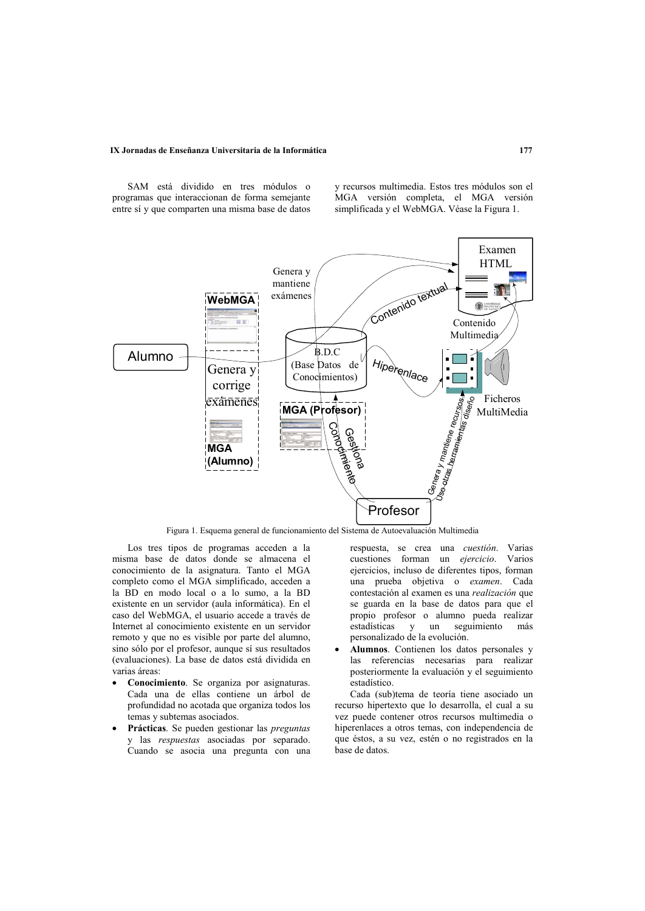### IX Jornadas de Enseñanza Universitaria de la Informática

SAM está dividido en tres módulos o programas que interaccionan de forma semejante entre sí y que comparten una misma base de datos y recursos multimedia. Estos tres módulos son el MGA versión completa, el MGA versión simplificada y el WebMGA. Véase la Figura 1.



Figura 1. Esquema general de funcionamiento del Sistema de Autoevaluación Multimedia

Los tres tipos de programas acceden a la misma base de datos donde se almacena el conocimiento de la asignatura. Tanto el MGA completo como el MGA simplificado, acceden a la BD en modo local o a lo sumo, a la BD existente en un servidor (aula informática). En el caso del WebMGA, el usuario accede a través de Internet al conocimiento existente en un servidor remoto y que no es visible por parte del alumno, sino sólo por el profesor, aunque sí sus resultados (evaluaciones). La base de datos está dividida en varias áreas<sup>-</sup>

- Conocimiento. Se organiza por asignaturas. Cada una de ellas contiene un árbol de profundidad no acotada que organiza todos los temas y subtemas asociados.
- Prácticas. Se pueden gestionar las preguntas y las respuestas asociadas por separado. Cuando se asocia una pregunta con una

respuesta, se crea una cuestión. Varias cuestiones forman un ejercicio. Varios ejercicios, incluso de diferentes tipos, forman una prueba objetiva o examen. Cada contestación al examen es una *realización* que se guarda en la base de datos para que el propio profesor o alumno pueda realizar estadísticas  $un$ seguimiento más  $\mathbf{v}$ personalizado de la evolución.

Alumnos. Contienen los datos personales y las referencias necesarias para realizar posteriormente la evaluación y el seguimiento estadístico.

Cada (sub)tema de teoría tiene asociado un recurso hipertexto que lo desarrolla, el cual a su vez puede contener otros recursos multimedia o hiperenlaces a otros temas, con independencia de que éstos, a su vez, estén o no registrados en la base de datos.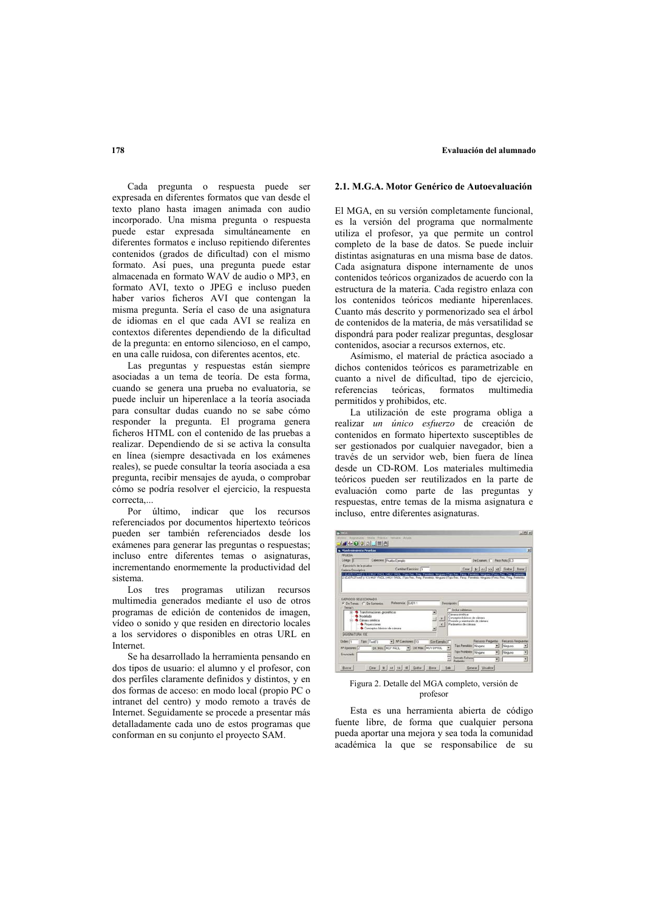#### **59F 59F 178 69F 69F 69F 69F 69F 69F 69F 69F 69F 69F 69F 69F 69F 69F 69F 69F 69F 69F 69F 69F 69F 69F 69F 69F 69F 69F 69F 69F 69F 69F 69F 69F 69F 69F**

Cada pregunta o respuesta puede ser **2.1. M.G.A. Motor Genérico de Autoevaluación** expresada en diferentes formatos que van desde el texto plano hasta imagen animada con audio incorporado. Una misma pregunta o respuesta puede estar expresada simultáneamente en diferentes formatos e incluso repitiendo diferentes contenidos (grados de dificultad) con el mismo formato. Así pues, una pregunta puede estar almacenada en formato  $W\widehat{AV}$  de audio o MP3, en formato AVI, texto o JPEG e incluso pueden haber varios ficheros AVI que contengan la misma pregunta. Sería el caso de una asignatura de idiomas en el que cada AVI se realiza en contextos diferentes dependiendo de la dificultad de la pregunta: en entorno silencioso, en el campo, en una calle ruidosa, con diferentes acentos, etc.

Las preguntas y respuestas están siempre asociadas a un tema de teoría. De esta forma. cuando se genera una prueba no evaluatoria, se puede incluir un hinerenlace a la teoría asociada para consultar dudas cuando no se sabe cómo responder la pregunta. El programa genera ficheros HTML con el contenido de las pruebas a realizar. Dependiendo de si se activa la consulta en línea (siempre desactivada en los exámenes reales), se puede consultar la teoría asociada a esa pregunta, recibir mensajes de ayuda, o comprobar cómo se podría resolver el ejercicio, la respuesta correcta,..

Por último, indicar que los recursos incluso, entre diferentes asignaturas. referenciados por documentos hipertexto teóricos pueden ser también referenciados desde los exámenes para generar las preguntas o respuestas; incluso entre diferentes temas o asignaturas, incrementando enormemente la productividad del sistema

Los tres programas utilizan recursos multimedia generados mediante el uso de otros programas de edición de contenidos de imagen, vídeo o sonido y que residen en directorio locales a los servidores o disponibles en otras URL en Internet

Se ha desarrollado la herramienta pensando en dos tipos de usuario: el alumno y el profesor, con dos perfiles claramente definidos y distintos, y en dos formas de acceso: en modo local (propio PC o intranet del centro) y modo remoto a través de Internet. Seguidamente se procede a presentar más detalladamente cada uno de estos programas que conforman en su conjunto el provecto SAM.

El MGA, en su versión completamente funcional, es la versión del programa que normalmente utiliza el profesor, ya que permite un control completo de la base de datos. Se puede incluir distintas asignaturas en una misma base de datos. Cada asignatura dispone internamente de unos contenidos teóricos organizados de acuerdo con la estructura de la materia. Cada registro enlaza con los contenidos teóricos mediante hiperenlaces. Cuanto más descrito y pormenorizado sea el árbol de contenidos de la materia, de más versatilidad se dispondrá para poder realizar preguntas, desglosar contenidos, asociar a recursos externos, etc.

Asímismo, el material de práctica asociado a dichos contenidos teóricos es parametrizable en cuanto a nivel de dificultad, tipo de ejercicio, referencias e teóricas formatos multimedia referencias teóricas permitidos y prohibidos, etc.

La utilización de este programa obliga a realizar *un único esfuerzo* de creación de contenidos en formato hipertexto susceptibles de ser gestionados por cualquier navegador, bien a través de un servidor web, bien fuera de línea desde un CD-ROM. Los materiales multimedia teóricos pueden ser reutilizados en la parte de evaluación como parte de las preguntas y respuestas entre temas de la misma asignatura e



Figura 2. Detalle del MGA completo, versión de profesor

Esta es una herramienta abierta de código fuente libre, de forma que cualquier persona pueda aportar una mejora y sea toda la comunidad académica la que se responsabilice de su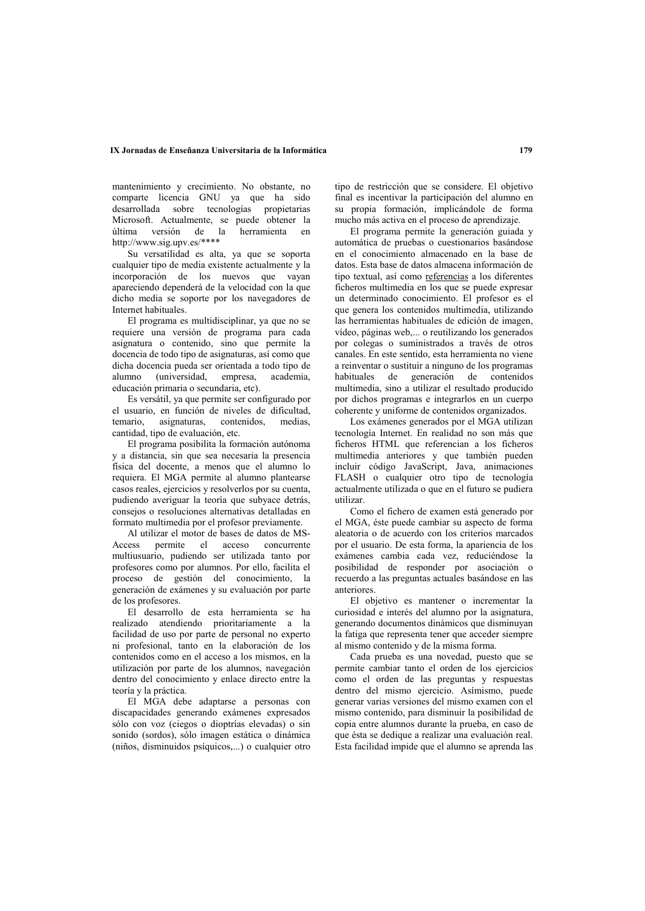#### IX Jornadas de Enseñanza Universitaria de la Informática

mantenimiento y crecimiento. No obstante, no comparte licencia GNU va que ha sido desarrollada sobre tecnologías propietarias Microsoft. Actualmente, se puede obtener la última versión de la herramienta en http://www.sig.upv.es/\*\*\*\*

Su versatilidad es alta, ya que se soporta cualquier tipo de media existente actualmente y la incorporación de los nuevos que vavan apareciendo dependerá de la velocidad con la que dicho media se soporte por los navegadores de Internet habituales.

El programa es multidisciplinar, ya que no se requiere una versión de programa para cada asignatura o contenido, sino que permite la docencia de todo tipo de asignaturas, así como que dicha docencia pueda ser orientada a todo tipo de alumno (universidad, empresa, academia. educación primaria o secundaria, etc).

Es versátil, ya que permite ser configurado por el usuario, en función de niveles de dificultad, temario asignaturas, contenidos, medias cantidad, tipo de evaluación, etc.

El programa posibilita la formación autónoma y a distancia, sin que sea necesaria la presencia física del docente, a menos que el alumno lo requiera. El MGA permite al alumno plantearse casos reales, ejercicios y resolverlos por su cuenta, pudiendo averiguar la teoría que subyace detrás, consejos o resoluciones alternativas detalladas en formato multimedia por el profesor previamente.

Al utilizar el motor de bases de datos de MSpermite el acceso concurrente Access multiusuario, pudiendo ser utilizada tanto por profesores como por alumnos. Por ello, facilita el proceso de gestión del conocimiento, la generación de exámenes y su evaluación por parte de los profesores.

El desarrollo de esta herramienta se ha realizado atendiendo prioritariamente a la facilidad de uso por parte de personal no experto ni profesional, tanto en la elaboración de los contenidos como en el acceso a los mismos, en la utilización por parte de los alumnos, navegación dentro del conocimiento y enlace directo entre la teoría v la práctica.

El MGA debe adaptarse a personas con discapacidades generando exámenes expresados sólo con voz (ciegos o dioptrías elevadas) o sin sonido (sordos), sólo imagen estática o dinámica (niños, disminuidos psíquicos,...) o cualquier otro tipo de restricción que se considere. El objetivo final es incentivar la participación del alumno en su propia formación, implicándole de forma mucho más activa en el proceso de aprendizaje.

El programa permite la generación guiada y automática de pruebas o cuestionarios basándose en el conocimiento almacenado en la base de datos. Esta base de datos almacena información de tipo textual, así como referencias a los diferentes ficheros multimedia en los que se puede expresar un determinado conocimiento. El profesor es el que genera los contenidos multimedia, utilizando las herramientas habituales de edición de imagen, vídeo, páginas web,... o reutilizando los generados por colegas o suministrados a través de otros canales. En este sentido, esta herramienta no viene a reinventar o sustituir a ninguno de los programas habituales de generación de contenidos multimedia, sino a utilizar el resultado producido por dichos programas e integrarlos en un cuerpo coherente y uniforme de contenidos organizados.

Los exámenes generados por el MGA utilizan tecnología Internet. En realidad no son más que ficheros HTML que referencian a los ficheros multimedia anteriores y que también pueden incluir código JavaScript, Java, animaciones FLASH o cualquier otro tipo de tecnología actualmente utilizada o que en el futuro se pudiera utilizar

Como el fichero de examen está generado por el MGA, éste puede cambiar su aspecto de forma aleatoria o de acuerdo con los criterios marcados por el usuario. De esta forma, la apariencia de los exámenes cambia cada vez, reduciéndose la posibilidad de responder por asociación o recuerdo a las preguntas actuales basándose en las anteriores.

El objetivo es mantener o incrementar la curiosidad e interés del alumno por la asignatura, generando documentos dinámicos que disminuyan la fatiga que representa tener que acceder siempre al mismo contenido y de la misma forma.

Cada prueba es una novedad, puesto que se permite cambiar tanto el orden de los ejercicios como el orden de las preguntas y respuestas dentro del mismo ejercicio. Asímismo, puede generar varias versiones del mismo examen con el mismo contenido, para disminuir la posibilidad de copia entre alumnos durante la prueba, en caso de que ésta se dedique a realizar una evaluación real. Esta facilidad impide que el alumno se aprenda las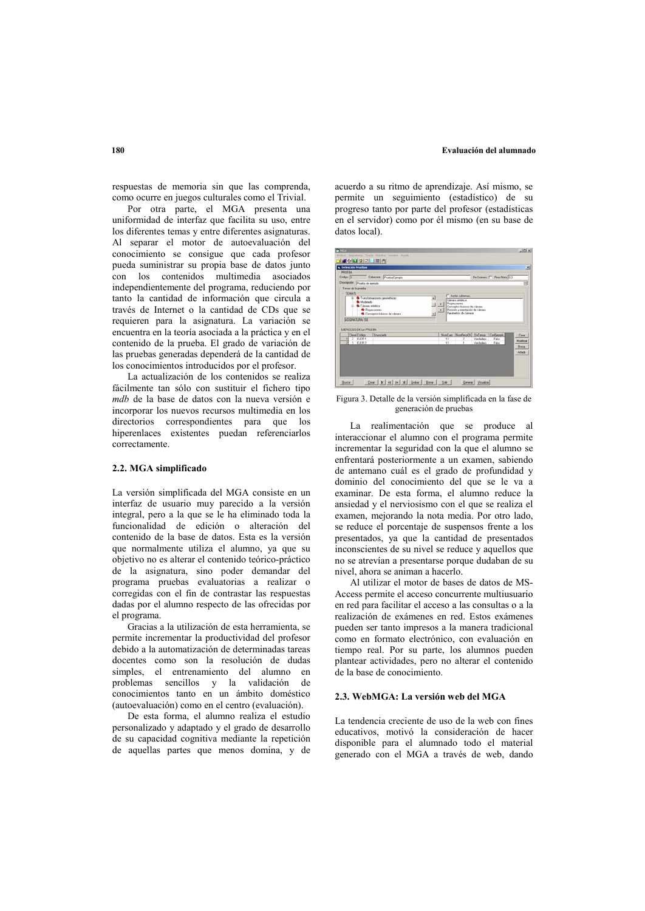#### **5Figure 180 5Figure 180 6Figure 180 6Figure 180 6Figure 180 6Figure 180 6Exclusion del alumnado**

respuestas de memoria sin que las comprenda como ocurre en juegos culturales como el Trivial.

Por otra parte, el MGA presenta una uniformidad de interfaz que facilita su uso, entre los diferentes temas y entre diferentes asignaturas. Al separar el motor de autoevaluación del conocimiento se consigue que cada profesor pueda suministrar su propia base de datos iunto con los contenidos multimedia asociados independientemente del programa, reduciendo por tanto la cantidad de información que circula a través de Internet o la cantidad de CDs que se requieren para la asignatura. La variación se encuentra en la teoría asociada a la práctica y en el contenido de la prueba. El grado de variación de las pruebas generadas dependerá de la cantidad de los conocimientos introducidos por el profesor.

La actualización de los contenidos se realiza fácilmente tan sólo con sustituir el fichero tipo *mdb* de la base de datos con la nueva versión e incorporar los nuevos recursos multimedia en los directorios correspondientes para que los hiperenlaces existentes puedan referenciarlos correctamente.

### 2.2. MGA simplificado

La versión simplificada del MGA consiste en un interfaz de usuario muy parecido a la versión integral, pero a la que se le ha eliminado toda la funcionalidad de edición o alteración del contenido de la base de datos. Esta es la versión que normalmente utiliza el alumno, ya que su objetivo no es alterar el contenido teórico-práctico de la asignatura, sino poder demandar del programa pruebas evaluatorias a realizar o  $\overline{2}$  corregidas con el fin de contrastar las respuestas dadas por el alumno respecto de las ofrecidas por el programa.

Gracias a la utilización de esta herramienta, se permite incrementar la productividad del profesor debido a la automatización de determinadas tareas docentes como son la resolución de dudas simples, el entrenamiento del alumno en problemas sencillos y la validación de conocimientos tanto en un ámbito doméstico (autoevaluación) como en el centro (evaluación).

De esta forma, el alumno realiza el estudio personalizado y adaptado y el grado de desarrollo de su capacidad cognitiva mediante la repetición de aquellas partes que menos domina, y de acuerdo a su ritmo de aprendizaje. Así mismo, se permite un seguimiento (estadístico) de su progreso tanto por parte del profesor (estadísticas en el servidor) como por él mismo (en su base de datos local).



Figura 3. Detalle de la versión simplificada en la fase de generación de pruebas

La realimentación que se produce al interaccionar el alumno con el programa permite incrementar la seguridad con la que el alumno se enfrentará posteriormente a un examen, sabiendo de antemano cuál es el grado de profundidad y dominio del conocimiento del que se le va a examinar. De esta forma, el alumno reduce la ansiedad y el nerviosismo con el que se realiza el examen, mejorando la nota media. Por otro lado, se reduce el porcentaje de suspensos frente a los presentados, va que la cantidad de presentados inconscientes de su nivel se reduce y aquellos que no se atrevían a presentarse porque dudaban de su nivel, ahora se animan a hacerlo.

Al utilizar el motor de bases de datos de MS-Access permite el acceso concurrente multiusuario en red para facilitar el acceso a las consultas o a la realización de exámenes en red. Estos exámenes pueden ser tanto impresos a la manera tradicional como en formato electrónico, con evaluación en tiempo real. Por su parte, los alumnos pueden plantear actividades, pero no alterar el contenido  $\alpha$ de la base de conocimiento.

#### $2.3$  WebMCA · La versión web del MCA

La tendencia creciente de uso de la web con fines educativos, motivó la consideración de hacer disponible para el alumnado todo el material generado con el MGA a través de web, dando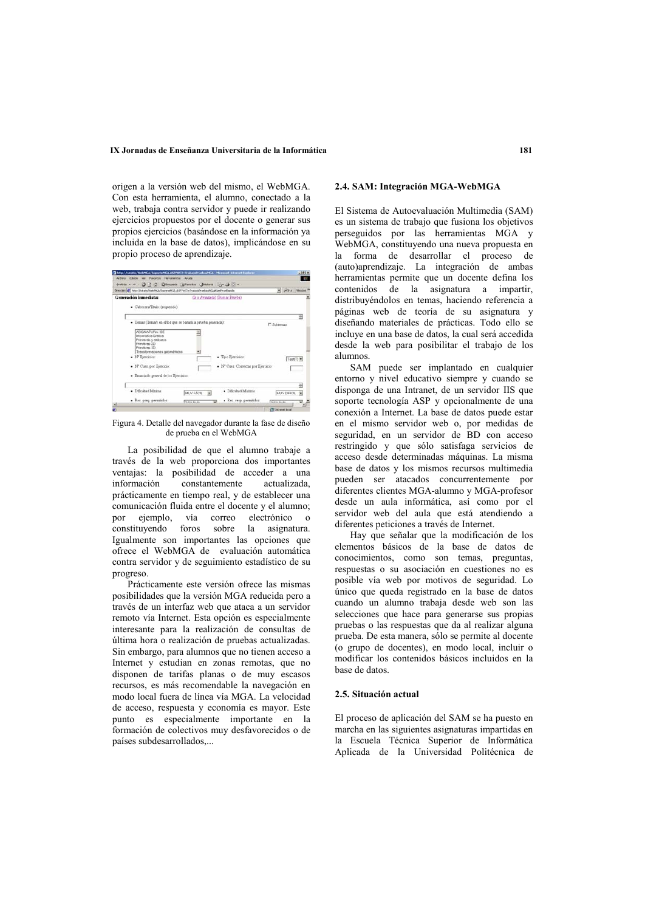origen a la versión web del mismo, el WebMGA. **2.4. SAM: Integración MGA-WebMGA** Con esta herramienta, el alumno, conectado a la web, trabaia contra servidor y puede ir realizando ejercicios propuestos por el docente o generar sus propios ejercicios (basándose en la información ya incluida en la base de datos), implicándose en su propio proceso de aprendizaje.



Figura 4. Detalle del navegador durante la fase de diseño de prueba en el WebMGA

La posibilidad de que el alumno trabaje a través de la web proporciona dos importantes ventajas: la posibilidad de acceder a una<br>información constantemente actualizada. constantemente actualizada. prácticamente en tiempo real, y de establecer una comunicación fluida entre el docente y el alumno; por ejemplo, vía correo electrónico o constituyendo foros sobre la asignatura. Igualmente son importantes las opciones que ofrece el WebMGA de evaluación automática contra servidor y de seguimiento estadístico de su progreso.

Prácticamente este versión ofrece las mismas posibilidades que la versión MGA reducida pero a través de un interfaz web que ataca a un servidor remoto vía Internet. Esta opción es especialmente interesante para la realización de consultas de última hora o realización de pruebas actualizadas. Sin embargo, para alumnos que no tienen acceso a Internet y estudian en zonas remotas, que no disponen de tarifas planas o de muy escasos recursos, es más recomendable la navegación en modo local fuera de línea vía MGA. La velocidad de acceso, respuesta y economía es mayor. Este punto es especialmente importante en la formación de colectivos muy desfavorecidos o de países subdesarrollados,...

El Sistema de Autoevaluación Multimedia (SAM) es un sistema de trabaio que fusiona los objetivos perseguidos por las herramientas MGA y WebMGA, constituyendo una nueva propuesta en la forma de desarrollar el proceso de (auto)aprendizaje. La integración de ambas herramientas permite que un docente defina los contenidos de la asignatura a impartir. distribuyéndolos en temas, haciendo referencia a páginas web de teoría de su asignatura y diseñando materiales de prácticas. Todo ello se incluye en una base de datos, la cual será accedida desde la web para posibilitar el trabajo de los alumnos

SAM puede ser implantado en cualquier entorno y nivel educativo siempre y cuando se disponga de una Intranet, de un servidor IIS que soporte tecnología ASP y opcionalmente de una conexión a Internet. La base de datos puede estar en el mismo servidor web o, por medidas de seguridad, en un servidor de BD con acceso restringido y que sólo satisfaga servicios de acceso desde determinadas máquinas. La misma base de datos y los mismos recursos multimedia pueden ser atacados concurrentemente por diferentes clientes MGA-alumno y MGA-profesor desde un aula informática, así como por el servidor web del aula que está atendiendo a diferentes peticiones a través de Internet.

Hay que señalar que la modificación de los elementos básicos de la base de datos de conocimientos, como son temas, preguntas, respuestas o su asociación en cuestiones no es posible vía web por motivos de seguridad. Lo único que queda registrado en la base de datos cuando un alumno trabaja desde web son las selecciones que hace para generarse sus propias pruebas o las respuestas que da al realizar alguna  $\alpha$  prueba. De esta manera, sólo se permite al docente  $\alpha$  (o grupo de docentes), en modo local, incluir o modificar los contenidos básicos incluidos en la hase de datos

#### **2.5.** Situación actual

El proceso de aplicación del SAM se ha puesto en marcha en las siguientes asignaturas impartidas en la Escuela Técnica Superior de Informática Aplicada de la Universidad Politécnica de